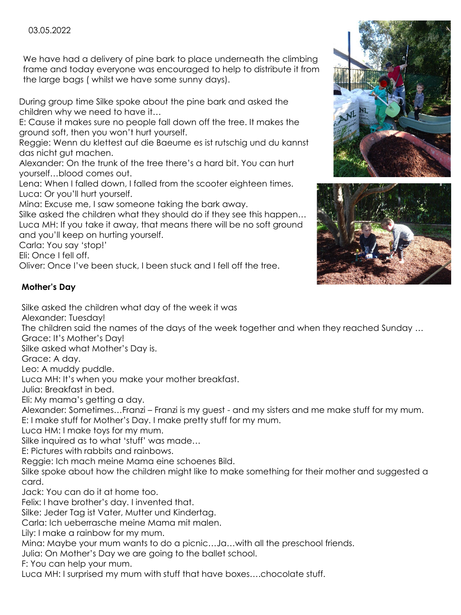## 03.05.2022

We have had a delivery of pine bark to place underneath the climbing frame and today everyone was encouraged to help to distribute it from the large bags ( whilst we have some sunny days).

During group time Silke spoke about the pine bark and asked the children why we need to have it…

E: Cause it makes sure no people fall down off the tree. It makes the ground soft, then you won't hurt yourself.

Reggie: Wenn du klettest auf die Baeume es ist rutschig und du kannst das nicht gut machen.

Alexander: On the trunk of the tree there's a hard bit. You can hurt yourself…blood comes out.

Lena: When I falled down, I falled from the scooter eighteen times. Luca: Or you'll hurt yourself.

Mina: Excuse me, I saw someone taking the bark away.

Silke asked the children what they should do if they see this happen… Luca MH: If you take it away, that means there will be no soft ground and you'll keep on hurting yourself.

Carla: You say 'stop!'

Eli: Once I fell off.

Oliver: Once I've been stuck, I been stuck and I fell off the tree.

## **Mother's Day**

Silke asked the children what day of the week it was

Alexander: Tuesday!

The children said the names of the days of the week together and when they reached Sunday …

Grace: It's Mother's Day!

Silke asked what Mother's Day is.

Grace: A day.

Leo: A muddy puddle.

Luca MH: It's when you make your mother breakfast.

Julia: Breakfast in bed.

Eli: My mama's getting a day.

Alexander: Sometimes…Franzi – Franzi is my guest - and my sisters and me make stuff for my mum. E: I make stuff for Mother's Day. I make pretty stuff for my mum.

Luca HM: I make toys for my mum.

Silke inquired as to what 'stuff' was made…

E: Pictures with rabbits and rainbows.

Reggie: Ich mach meine Mama eine schoenes Bild.

Silke spoke about how the children might like to make something for their mother and suggested a card.

Jack: You can do it at home too.

Felix: I have brother's day. I invented that.

Silke: Jeder Tag ist Vater, Mutter und Kindertag.

Carla: Ich ueberrasche meine Mama mit malen.

Lily: I make a rainbow for my mum.

Mina: Maybe your mum wants to do a picnic…Ja…with all the preschool friends.

Julia: On Mother's Day we are going to the ballet school.

F: You can help your mum.

Luca MH: I surprised my mum with stuff that have boxes….chocolate stuff.